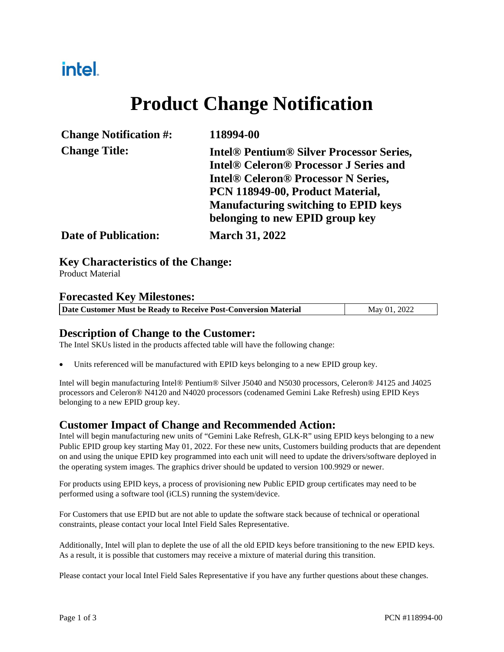## intel.

# **Product Change Notification**

| <b>Change Notification #:</b> | 118994-00                                                                                                                                                                                                                                                                                                        |
|-------------------------------|------------------------------------------------------------------------------------------------------------------------------------------------------------------------------------------------------------------------------------------------------------------------------------------------------------------|
| <b>Change Title:</b>          | <b>Intel<sup>®</sup> Pentium<sup>®</sup> Silver Processor Series,</b><br><b>Intel® Celeron® Processor J Series and</b><br><b>Intel<sup>®</sup> Celeron<sup>®</sup> Processor N Series,</b><br>PCN 118949-00, Product Material,<br><b>Manufacturing switching to EPID keys</b><br>belonging to new EPID group key |
| <b>Date of Publication:</b>   | <b>March 31, 2022</b>                                                                                                                                                                                                                                                                                            |

**Key Characteristics of the Change:**

Product Material

#### **Forecasted Key Milestones:**

| Date Customer Must be Ready to Receive Post-Conversion Material | May 01, 2022 |
|-----------------------------------------------------------------|--------------|
|                                                                 |              |

#### **Description of Change to the Customer:**

The Intel SKUs listed in the products affected table will have the following change:

Units referenced will be manufactured with EPID keys belonging to a new EPID group key.

Intel will begin manufacturing Intel® Pentium® Silver J5040 and N5030 processors, Celeron® J4125 and J4025 processors and Celeron® N4120 and N4020 processors (codenamed Gemini Lake Refresh) using EPID Keys belonging to a new EPID group key.

#### **Customer Impact of Change and Recommended Action:**

Intel will begin manufacturing new units of "Gemini Lake Refresh, GLK-R" using EPID keys belonging to a new Public EPID group key starting May 01, 2022. For these new units, Customers building products that are dependent on and using the unique EPID key programmed into each unit will need to update the drivers/software deployed in the operating system images. The graphics driver should be updated to version 100.9929 or newer.

For products using EPID keys, a process of provisioning new Public EPID group certificates may need to be performed using a software tool (iCLS) running the system/device.

For Customers that use EPID but are not able to update the software stack because of technical or operational constraints, please contact your local Intel Field Sales Representative.

Additionally, Intel will plan to deplete the use of all the old EPID keys before transitioning to the new EPID keys. As a result, it is possible that customers may receive a mixture of material during this transition.

Please contact your local Intel Field Sales Representative if you have any further questions about these changes.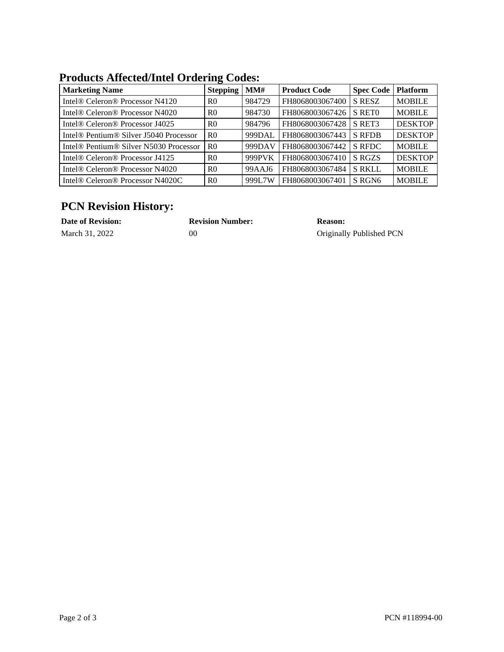#### **Products Affected/Intel Ordering Codes:**

| <b>Marketing Name</b>                                          | <b>Stepping</b> | MM#    | <b>Product Code</b> | <b>Spec Code</b> | <b>Platform</b> |
|----------------------------------------------------------------|-----------------|--------|---------------------|------------------|-----------------|
| Intel® Celeron® Processor N4120                                | R <sub>0</sub>  | 984729 | FH8068003067400     | <b>S RESZ</b>    | <b>MOBILE</b>   |
| Intel® Celeron® Processor N4020                                | R <sub>0</sub>  | 984730 | FH8068003067426     | S RETO           | <b>MOBILE</b>   |
| Intel® Celeron® Processor J4025                                | R <sub>0</sub>  | 984796 | FH8068003067428     | S RET3           | <b>DESKTOP</b>  |
| Intel <sup>®</sup> Pentium <sup>®</sup> Silver J5040 Processor | R <sub>0</sub>  | 999DAL | FH8068003067443     | <b>S RFDB</b>    | <b>DESKTOP</b>  |
| Intel <sup>®</sup> Pentium <sup>®</sup> Silver N5030 Processor | R <sub>0</sub>  | 999DAV | FH8068003067442     | <b>S RFDC</b>    | <b>MOBILE</b>   |
| Intel® Celeron® Processor J4125                                | R <sub>0</sub>  | 999PVK | FH8068003067410     | S RGZS           | <b>DESKTOP</b>  |
| Intel® Celeron® Processor N4020                                | R <sub>0</sub>  | 99AAJ6 | FH8068003067484     | <b>S RKLL</b>    | <b>MOBILE</b>   |
| Intel® Celeron® Processor N4020C                               | R <sub>0</sub>  | 999L7W | FH8068003067401     | S RGN6           | <b>MOBILE</b>   |

### **PCN Revision History:**

| <b>Date of Revision:</b> | <b>Revision Number:</b> | <b>Reason:</b>           |
|--------------------------|-------------------------|--------------------------|
| March 31, 2022           | 00                      | Originally Published PCN |